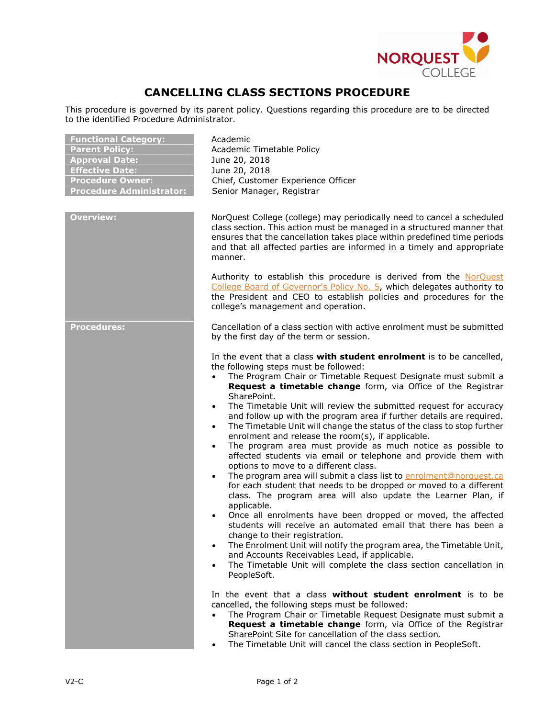

## **CANCELLING CLASS SECTIONS PROCEDURE**

This procedure is governed by its parent policy. Questions regarding this procedure are to be directed to the identified Procedure Administrator.

| <b>Functional Category:</b><br><b>Parent Policy:</b><br><b>Approval Date:</b><br><b>Effective Date:</b><br><b>Procedure Owner:</b><br><b>Procedure Administrator:</b> | Academic<br>Academic Timetable Policy<br>June 20, 2018<br>June 20, 2018<br>Chief, Customer Experience Officer<br>Senior Manager, Registrar                                                                                                                                                                                                                                                                                                                                                                                                                                                                                                                                                                                                                                                                                                                                                                                                                                                                                                                                                                                                                                                                                                                                                                                                                                                                                  |
|-----------------------------------------------------------------------------------------------------------------------------------------------------------------------|-----------------------------------------------------------------------------------------------------------------------------------------------------------------------------------------------------------------------------------------------------------------------------------------------------------------------------------------------------------------------------------------------------------------------------------------------------------------------------------------------------------------------------------------------------------------------------------------------------------------------------------------------------------------------------------------------------------------------------------------------------------------------------------------------------------------------------------------------------------------------------------------------------------------------------------------------------------------------------------------------------------------------------------------------------------------------------------------------------------------------------------------------------------------------------------------------------------------------------------------------------------------------------------------------------------------------------------------------------------------------------------------------------------------------------|
| <b>Overview:</b>                                                                                                                                                      | NorQuest College (college) may periodically need to cancel a scheduled<br>class section. This action must be managed in a structured manner that<br>ensures that the cancellation takes place within predefined time periods<br>and that all affected parties are informed in a timely and appropriate<br>manner.                                                                                                                                                                                                                                                                                                                                                                                                                                                                                                                                                                                                                                                                                                                                                                                                                                                                                                                                                                                                                                                                                                           |
|                                                                                                                                                                       | Authority to establish this procedure is derived from the NorQuest<br>College Board of Governor's Policy No. 5, which delegates authority to<br>the President and CEO to establish policies and procedures for the<br>college's management and operation.                                                                                                                                                                                                                                                                                                                                                                                                                                                                                                                                                                                                                                                                                                                                                                                                                                                                                                                                                                                                                                                                                                                                                                   |
| <b>Procedures:</b>                                                                                                                                                    | Cancellation of a class section with active enrolment must be submitted<br>by the first day of the term or session.                                                                                                                                                                                                                                                                                                                                                                                                                                                                                                                                                                                                                                                                                                                                                                                                                                                                                                                                                                                                                                                                                                                                                                                                                                                                                                         |
|                                                                                                                                                                       | In the event that a class with student enrolment is to be cancelled,<br>the following steps must be followed:<br>The Program Chair or Timetable Request Designate must submit a<br>Request a timetable change form, via Office of the Registrar<br>SharePoint.<br>The Timetable Unit will review the submitted request for accuracy<br>$\bullet$<br>and follow up with the program area if further details are required.<br>The Timetable Unit will change the status of the class to stop further<br>$\bullet$<br>enrolment and release the room(s), if applicable.<br>The program area must provide as much notice as possible to<br>$\bullet$<br>affected students via email or telephone and provide them with<br>options to move to a different class.<br>The program area will submit a class list to enrolment@norquest.ca<br>$\bullet$<br>for each student that needs to be dropped or moved to a different<br>class. The program area will also update the Learner Plan, if<br>applicable.<br>Once all enrolments have been dropped or moved, the affected<br>$\bullet$<br>students will receive an automated email that there has been a<br>change to their registration.<br>The Enrolment Unit will notify the program area, the Timetable Unit,<br>$\bullet$<br>and Accounts Receivables Lead, if applicable.<br>The Timetable Unit will complete the class section cancellation in<br>$\bullet$<br>PeopleSoft. |
|                                                                                                                                                                       | In the event that a class <b>without student enrolment</b> is to be<br>cancelled, the following steps must be followed:<br>The Program Chair or Timetable Request Designate must submit a<br>Request a timetable change form, via Office of the Registrar<br>SharePoint Site for cancellation of the class section.<br>The Timetable Unit will cancel the class section in PeopleSoft.<br>$\bullet$                                                                                                                                                                                                                                                                                                                                                                                                                                                                                                                                                                                                                                                                                                                                                                                                                                                                                                                                                                                                                         |